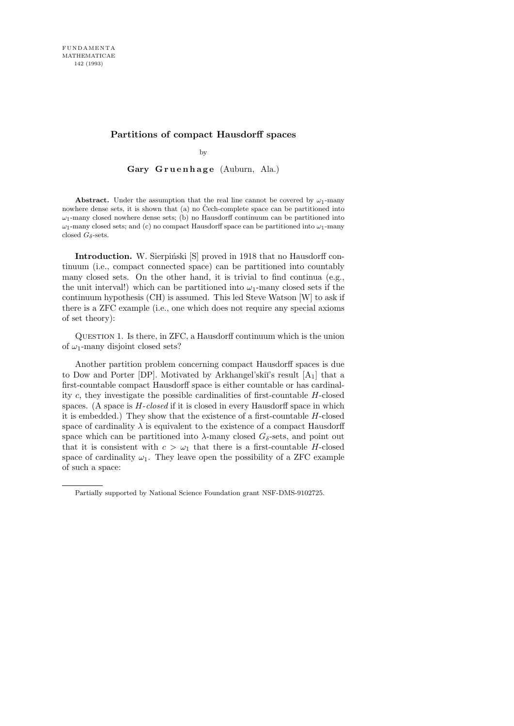# **Partitions of compact Hausdorff spaces**

by

Gary Gruenhage (Auburn, Ala.)

**Abstract.** Under the assumption that the real line cannot be covered by  $\omega_1$ -many nowhere dense sets, it is shown that  $(a)$  no Čech-complete space can be partitioned into *ω*1-many closed nowhere dense sets; (b) no Hausdorff continuum can be partitioned into *ω*1-many closed sets; and (c) no compact Hausdorff space can be partitioned into *ω*1-many closed  $G_{\delta}$ -sets.

Introduction. W. Sierpiński [S] proved in 1918 that no Hausdorff continuum (i.e., compact connected space) can be partitioned into countably many closed sets. On the other hand, it is trivial to find continua (e.g., the unit interval!) which can be partitioned into  $\omega_1$ -many closed sets if the continuum hypothesis (CH) is assumed. This led Steve Watson [W] to ask if there is a ZFC example (i.e., one which does not require any special axioms of set theory):

Question 1. Is there, in ZFC, a Hausdorff continuum which is the union of  $\omega_1$ -many disjoint closed sets?

Another partition problem concerning compact Hausdorff spaces is due to Dow and Porter [DP]. Motivated by Arkhangel'skiı̆'s result  $[A_1]$  that a first-countable compact Hausdorff space is either countable or has cardinality c, they investigate the possible cardinalities of first-countable H-closed spaces. (A space is  $H\text{-}closed$  if it is closed in every Hausdorff space in which it is embedded.) They show that the existence of a first-countable H-closed space of cardinality  $\lambda$  is equivalent to the existence of a compact Hausdorff space which can be partitioned into  $\lambda$ -many closed  $G_{\delta}$ -sets, and point out that it is consistent with  $c > \omega_1$  that there is a first-countable H-closed space of cardinality  $\omega_1$ . They leave open the possibility of a ZFC example of such a space:

Partially supported by National Science Foundation grant NSF-DMS-9102725.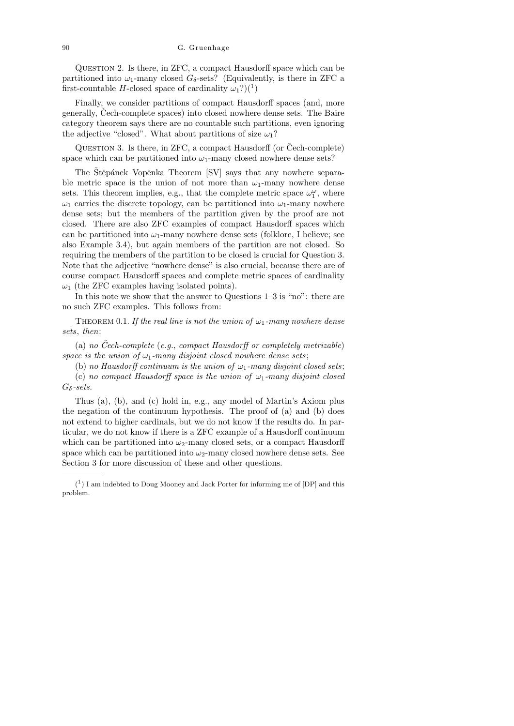Question 2. Is there, in ZFC, a compact Hausdorff space which can be partitioned into  $\omega_1$ -many closed  $G_{\delta}$ -sets? (Equivalently, is there in ZFC a first-countable H-closed space of cardinality  $\omega_1$ ?)(<sup>1</sup>)

Finally, we consider partitions of compact Hausdorff spaces (and, more generally, Cech-complete spaces) into closed nowhere dense sets. The Baire category theorem says there are no countable such partitions, even ignoring the adjective "closed". What about partitions of size  $\omega_1$ ?

QUESTION 3. Is there, in ZFC, a compact Hausdorff (or  $\text{Čech-complete}$ ) space which can be partitioned into  $\omega_1$ -many closed nowhere dense sets?

The Štěpánek–Vopěnka Theorem [SV] says that any nowhere separable metric space is the union of not more than  $\omega_1$ -many nowhere dense sets. This theorem implies, e.g., that the complete metric space  $\omega_1^{\omega}$ , where  $\omega_1$  carries the discrete topology, can be partitioned into  $\omega_1$ -many nowhere dense sets; but the members of the partition given by the proof are not closed. There are also ZFC examples of compact Hausdorff spaces which can be partitioned into  $\omega_1$ -many nowhere dense sets (folklore, I believe; see also Example 3.4), but again members of the partition are not closed. So requiring the members of the partition to be closed is crucial for Question 3. Note that the adjective "nowhere dense" is also crucial, because there are of course compact Hausdorff spaces and complete metric spaces of cardinality  $\omega_1$  (the ZFC examples having isolated points).

In this note we show that the answer to Questions 1–3 is "no": there are no such ZFC examples. This follows from:

THEOREM 0.1. If the real line is not the union of  $\omega_1$ -many nowhere dense sets, then:

(a) no Cech-complete  $(e.g., compact Hausdorff or completely metrizable)$ space is the union of  $\omega_1$ -many disjoint closed nowhere dense sets;

(b) no Hausdorff continuum is the union of  $\omega_1$ -many disjoint closed sets;

(c) no compact Hausdorff space is the union of  $\omega_1$ -many disjoint closed  $G_{\delta}$ -sets.

Thus (a), (b), and (c) hold in, e.g., any model of Martin's Axiom plus the negation of the continuum hypothesis. The proof of (a) and (b) does not extend to higher cardinals, but we do not know if the results do. In particular, we do not know if there is a ZFC example of a Hausdorff continuum which can be partitioned into  $\omega_2$ -many closed sets, or a compact Hausdorff space which can be partitioned into  $\omega_2$ -many closed nowhere dense sets. See Section 3 for more discussion of these and other questions.

<sup>(</sup> 1 ) I am indebted to Doug Mooney and Jack Porter for informing me of [DP] and this problem.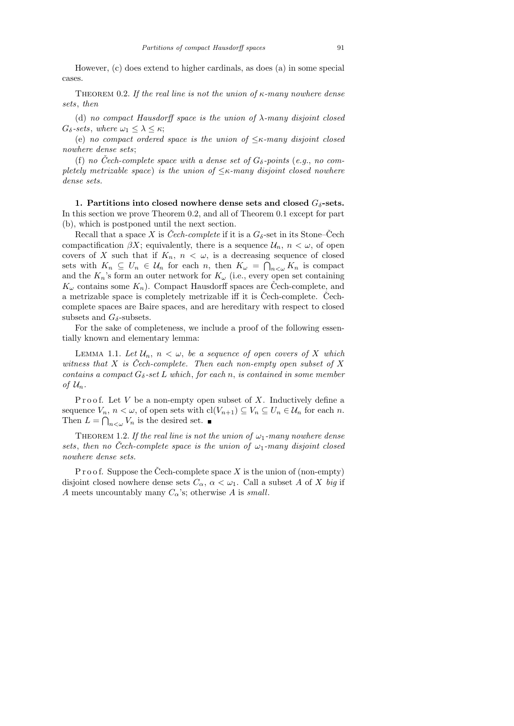However, (c) does extend to higher cardinals, as does (a) in some special cases.

THEOREM 0.2. If the real line is not the union of  $\kappa$ -many nowhere dense sets, then

(d) no compact Hausdorff space is the union of  $\lambda$ -many disjoint closed  $G_{\delta}$ -sets, where  $\omega_1 \leq \lambda \leq \kappa$ ;

(e) no compact ordered space is the union of  $\leq$ κ-many disjoint closed nowhere dense sets;

(f) no Čech-complete space with a dense set of  $G_{\delta}$ -points (e.g., no completely metrizable space) is the union of  $\leq$ κ-many disjoint closed nowhere dense sets.

1. Partitions into closed nowhere dense sets and closed  $G_{\delta}$ -sets. In this section we prove Theorem 0.2, and all of Theorem 0.1 except for part (b), which is postponed until the next section.

Recall that a space X is Cech-complete if it is a  $G_{\delta}$ -set in its Stone–Cech compactification  $\beta X$ ; equivalently, there is a sequence  $\mathcal{U}_n$ ,  $n < \omega$ , of open covers of X such that if  $K_n$ ,  $n < \omega$ , is a decreasing sequence of closed sets with  $K_n \subseteq U_n \in \mathcal{U}_n$  for each n, then  $K_\omega = \bigcap_{n<\omega} K_n$  is compact and the  $K_n$ 's form an outer network for  $K_\omega$  (i.e., every open set containing  $K_{\omega}$  contains some  $K_n$ ). Compact Hausdorff spaces are Čech-complete, and a metrizable space is completely metrizable iff it is Cech-complete. Cechcomplete spaces are Baire spaces, and are hereditary with respect to closed subsets and  $G_{\delta}$ -subsets.

For the sake of completeness, we include a proof of the following essentially known and elementary lemma:

LEMMA 1.1. Let  $\mathcal{U}_n$ ,  $n < \omega$ , be a sequence of open covers of X which witness that X is Čech-complete. Then each non-empty open subset of X contains a compact  $G_{\delta}$ -set L which, for each n, is contained in some member of  $\mathcal{U}_n$ .

Proof. Let V be a non-empty open subset of X. Inductively define a sequence  $V_n$ ,  $n < \omega$ , of open sets with  $\text{cl}(V_{n+1}) \subseteq V_n \subseteq U_n \in \mathcal{U}_n$  for each n. Then  $L = \bigcap_{n < \omega} V_n$  is the desired set.

THEOREM 1.2. If the real line is not the union of  $\omega_1$ -many nowhere dense sets, then no Čech-complete space is the union of  $\omega_1$ -many disjoint closed nowhere dense sets.

P r o o f. Suppose the Cech-complete space X is the union of (non-empty) disjoint closed nowhere dense sets  $C_{\alpha}$ ,  $\alpha < \omega_1$ . Call a subset A of X big if A meets uncountably many  $C_{\alpha}$ 's; otherwise A is small.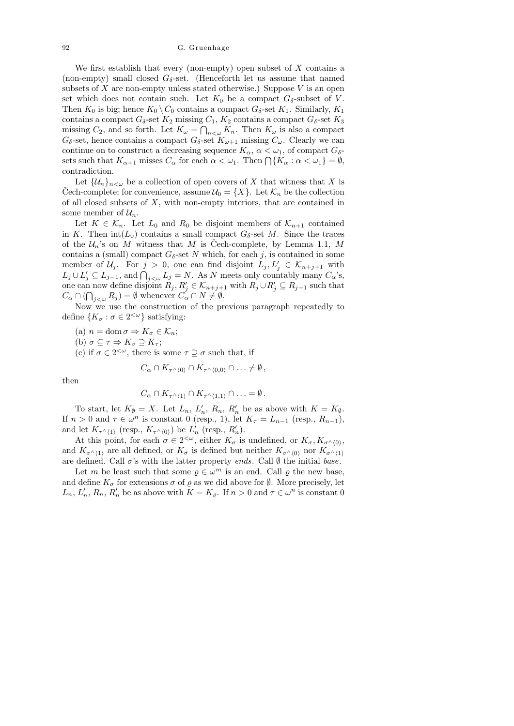## 92 G. Gruenhage

We first establish that every (non-empty) open subset of  $X$  contains a (non-empty) small closed  $G_{\delta}$ -set. (Henceforth let us assume that named subsets of X are non-empty unless stated otherwise.) Suppose  $V$  is an open set which does not contain such. Let  $K_0$  be a compact  $G_{\delta}$ -subset of V. Then  $K_0$  is big; hence  $K_0 \setminus C_0$  contains a compact  $G_\delta$ -set  $K_1$ . Similarly,  $K_1$ contains a compact  $G_{\delta}$ -set  $K_2$  missing  $C_1$ ,  $K_2$  contains a compact  $G_{\delta}$ -set  $K_3$ missing  $C_2$ , and so forth. Let  $K_{\omega} = \bigcap_{n < \omega} K_n$ . Then  $K_{\omega}$  is also a compact  $G_{\delta}$ -set, hence contains a compact  $G_{\delta}$ -set  $K_{\omega+1}$  missing  $C_{\omega}$ . Clearly we can continue on to construct a decreasing sequence  $K_{\alpha}$ ,  $\alpha < \omega_1$ , of compact  $G_{\delta}$ sets such that  $K_{\alpha+1}$  misses  $C_{\alpha}$  for each  $\alpha < \omega_1$ . Then  $\bigcap \{K_{\alpha} : \alpha < \omega_1\} = \emptyset$ , contradiction.

Let  $\{\mathcal{U}_n\}_{n\leq \omega}$  be a collection of open covers of X that witness that X is Cech-complete; for convenience, assume  $\mathcal{U}_0 = \{X\}$ . Let  $\mathcal{K}_n$  be the collection of all closed subsets of  $X$ , with non-empty interiors, that are contained in some member of  $\mathcal{U}_n$ .

Let  $K \in \mathcal{K}_n$ . Let  $L_0$  and  $R_0$  be disjoint members of  $\mathcal{K}_{n+1}$  contained in K. Then  $int(L_0)$  contains a small compact  $G_\delta$ -set M. Since the traces of the  $\mathcal{U}_n$ 's on M witness that M is Cech-complete, by Lemma 1.1, M contains a (small) compact  $G_{\delta}$ -set N which, for each j, is contained in some member of  $\mathcal{U}_j$ . For  $j > 0$ , one can find disjoint  $L_j, L'_j \in \mathcal{K}_{n+j+1}$  with  $L_j \cup L'_j \subseteq L_{j-1}$ , and  $\bigcap_{j<\omega} L_j = N$ . As N meets only countably many  $C_{\alpha}$ 's, one can now define disjoint  $R_j, R'_j \in \mathcal{K}_{n+j+1}$  with  $R_j \cup R'_j \subseteq R_{j-1}$  such that  $C_{\alpha} \cap (\bigcap_{j<\omega} R_j) = \emptyset$  whenever  $C_{\alpha} \cap N \neq \emptyset$ .

Now we use the construction of the previous paragraph repeatedly to define  $\{K_{\sigma} : \sigma \in 2^{<\omega}\}\$  satisfying:

- (a)  $n = \text{dom }\sigma \Rightarrow K_{\sigma} \in \mathcal{K}_n;$
- (b)  $\sigma \subseteq \tau \Rightarrow K_{\sigma} \supseteq K_{\tau};$
- (c) if  $\sigma \in 2^{<\omega}$ , there is some  $\tau \supseteq \sigma$  such that, if

$$
C_{\alpha} \cap K_{\tau^{\wedge} \langle 0 \rangle} \cap K_{\tau^{\wedge} \langle 0,0 \rangle} \cap \ldots \neq \emptyset,
$$

then

$$
C_{\alpha} \cap K_{\tau^{\wedge} \langle 1 \rangle} \cap K_{\tau^{\wedge} \langle 1,1 \rangle} \cap \ldots = \emptyset.
$$

To start, let  $K_{\emptyset} = X$ . Let  $L_n$ ,  $L'_n$ ,  $R_n$ ,  $R'_n$  be as above with  $K = K_{\emptyset}$ . If  $n > 0$  and  $\tau \in \omega^n$  is constant 0 (resp., 1), let  $K_{\tau} = L_{n-1}$  (resp.,  $R_{n-1}$ ), and let  $K_{\tau^{\wedge}\langle 1\rangle}$  (resp.,  $K_{\tau^{\wedge}\langle 0\rangle}$ ) be  $L'_n$  (resp.,  $R'_n$ ).

At this point, for each  $\sigma \in 2^{<\omega}$ , either  $K_{\sigma}$  is undefined, or  $K_{\sigma}, K_{\sigma \wedge \langle 0 \rangle}$ , and  $K_{\sigma^{\wedge}\langle 1\rangle}$  are all defined, or  $K_{\sigma}$  is defined but neither  $K_{\sigma^{\wedge}\langle 0\rangle}$  nor  $K_{\sigma^{\wedge}\langle 1\rangle}$ are defined. Call  $\sigma$ 's with the latter property *ends*. Call  $\emptyset$  the initial base.

Let m be least such that some  $\rho \in \omega^m$  is an end. Call  $\rho$  the new base, and define  $K_{\sigma}$  for extensions  $\sigma$  of  $\varrho$  as we did above for  $\emptyset$ . More precisely, let  $L_n$ ,  $L'_n$ ,  $R_n$ ,  $R'_n$  be as above with  $K = K_{\varrho}$ . If  $n > 0$  and  $\tau \in \omega^n$  is constant 0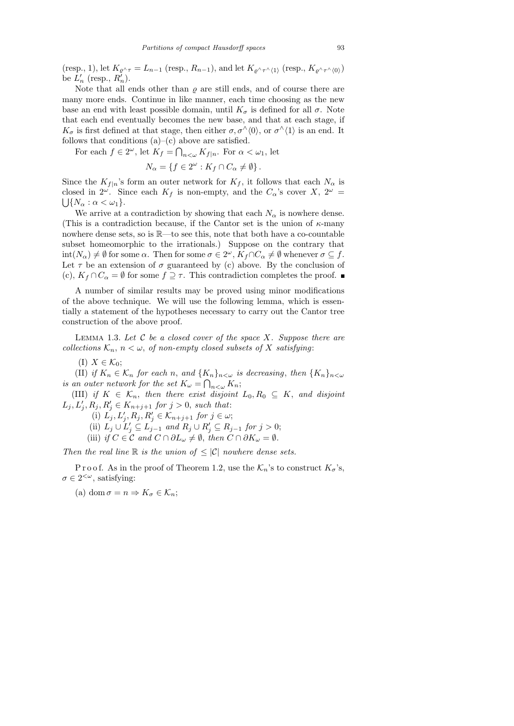(resp., 1), let  $K_{\varrho \wedge \tau} = L_{n-1}$  (resp.,  $R_{n-1}$ ), and let  $K_{\varrho \wedge \tau \wedge (1)}$  (resp.,  $K_{\varrho \wedge \tau \wedge (0)}$ ) be  $L'_n$  (resp.,  $R'_n$ ).

Note that all ends other than  $\rho$  are still ends, and of course there are many more ends. Continue in like manner, each time choosing as the new base an end with least possible domain, until  $K_{\sigma}$  is defined for all  $\sigma$ . Note that each end eventually becomes the new base, and that at each stage, if  $K_{\sigma}$  is first defined at that stage, then either  $\sigma, \sigma^{\wedge}\langle 0\rangle$ , or  $\sigma^{\wedge}\langle 1\rangle$  is an end. It follows that conditions  $(a)$ – $(c)$  above are satisfied.

For each  $f \in 2^{\omega}$ , let  $K_f = \bigcap_{n < \omega} K_{f|n}$ . For  $\alpha < \omega_1$ , let

$$
N_{\alpha} = \{ f \in 2^{\omega} : K_f \cap C_{\alpha} \neq \emptyset \}.
$$

Since the  $K_{f|n}$ 's form an outer network for  $K_f$ , it follows that each  $N_\alpha$  is closed in  $2^{\omega}$ . Since each  $K_f$  is non-empty, and the  $C_{\alpha}$ 's cover  $X, 2^{\omega} =$  $\bigcup \{N_\alpha : \alpha < \omega_1\}.$ 

We arrive at a contradiction by showing that each  $N_{\alpha}$  is nowhere dense. (This is a contradiction because, if the Cantor set is the union of  $\kappa$ -many nowhere dense sets, so is R—to see this, note that both have a co-countable subset homeomorphic to the irrationals.) Suppose on the contrary that  $\text{int}(N_{\alpha}) \neq \emptyset$  for some  $\alpha$ . Then for some  $\sigma \in 2^{\omega}$ ,  $K_f \cap C_{\alpha} \neq \emptyset$  whenever  $\sigma \subseteq f$ . Let  $\tau$  be an extension of  $\sigma$  guaranteed by (c) above. By the conclusion of (c),  $K_f \cap C_\alpha = \emptyset$  for some  $f \supseteq \tau$ . This contradiction completes the proof.

A number of similar results may be proved using minor modifications of the above technique. We will use the following lemma, which is essentially a statement of the hypotheses necessary to carry out the Cantor tree construction of the above proof.

LEMMA 1.3. Let  $C$  be a closed cover of the space  $X$ . Suppose there are collections  $\mathcal{K}_n$ ,  $n < \omega$ , of non-empty closed subsets of X satisfying:

(I)  $X \in \mathcal{K}_0$ ;

(II) if  $K_n \in \mathcal{K}_n$  for each n, and  $\{K_n\}_{n < \omega}$  is decreasing, then  $\{K_n\}_{n < \omega}$ is an outer network for the set  $K_{\omega} = \bigcap_{n < \omega} K_n$ ;

(III) if  $K \in \mathcal{K}_n$ , then there exist disjoint  $L_0, R_0 \subseteq K$ , and disjoint  $L_j, L'_j, R_j, R'_j \in K_{n+j+1}$  for  $j > 0$ , such that:

(i)  $L_j, L'_j, R_j, R'_j \in \mathcal{K}_{n+j+1}$  for  $j \in \omega$ ;

(ii)  $L_j \cup L'_j \subseteq L_{j-1}$  and  $R_j \cup R'_j \subseteq R_{j-1}$  for  $j > 0$ ;

(iii) if  $C \in \mathcal{C}$  and  $C \cap \partial L_{\omega} \neq \emptyset$ , then  $C \cap \partial K_{\omega} = \emptyset$ .

Then the real line  $\mathbb R$  is the union of  $\leq |\mathcal C|$  nowhere dense sets.

P r o o f. As in the proof of Theorem 1.2, use the  $\mathcal{K}_n$ 's to construct  $K_\sigma$ 's,  $\sigma \in 2^{<\omega}$ , satisfying:

(a) dom  $\sigma = n \Rightarrow K_{\sigma} \in \mathcal{K}_n;$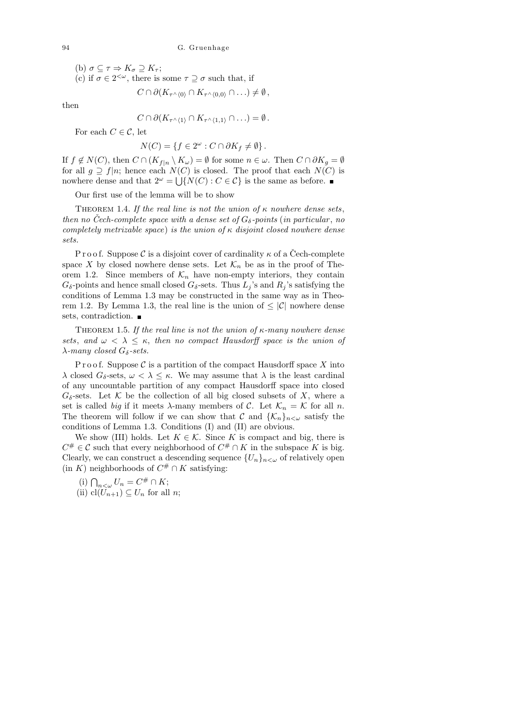(b)  $\sigma \subseteq \tau \Rightarrow K_{\sigma} \supseteq K_{\tau};$ (c) if  $\sigma \in 2^{<\omega}$ , there is some  $\tau \supseteq \sigma$  such that, if

$$
C\cap \partial (K_{\tau^{\wedge}\langle 0\rangle}\cap K_{\tau^{\wedge}\langle 0,0\rangle}\cap\ldots)\neq\emptyset,
$$

then

$$
C \cap \partial (K_{\tau^{\wedge}(1)} \cap K_{\tau^{\wedge}(1,1)} \cap \ldots) = \emptyset.
$$

For each  $C \in \mathcal{C}$ , let

$$
N(C) = \{ f \in 2^{\omega} : C \cap \partial K_f \neq \emptyset \}.
$$

If  $f \notin N(C)$ , then  $C \cap (K_{f|n} \setminus K_{\omega}) = \emptyset$  for some  $n \in \omega$ . Then  $C \cap \partial K_q = \emptyset$ for all  $g \supseteq f|n$ ; hence each  $N(C)$  is closed. The proof that each  $N(C)$  is nowhere dense and that  $2^{\omega} = \bigcup \{ N(C) : C \in \mathcal{C} \}$  is the same as before.

Our first use of the lemma will be to show

THEOREM 1.4. If the real line is not the union of  $\kappa$  nowhere dense sets, then no Cech-complete space with a dense set of  $G_{\delta}$ -points (in particular, no completely metrizable space) is the union of  $\kappa$  disjoint closed nowhere dense sets.

P r o o f. Suppose C is a disjoint cover of cardinality  $\kappa$  of a Čech-complete space X by closed nowhere dense sets. Let  $\mathcal{K}_n$  be as in the proof of Theorem 1.2. Since members of  $\mathcal{K}_n$  have non-empty interiors, they contain  $G_{\delta}$ -points and hence small closed  $G_{\delta}$ -sets. Thus  $L_j$ 's and  $R_j$ 's satisfying the conditions of Lemma 1.3 may be constructed in the same way as in Theorem 1.2. By Lemma 1.3, the real line is the union of  $\leq |\mathcal{C}|$  nowhere dense sets, contradiction.

THEOREM 1.5. If the real line is not the union of  $\kappa$ -many nowhere dense sets, and  $\omega < \lambda \leq \kappa$ , then no compact Hausdorff space is the union of  $\lambda$ -many closed G<sub>δ</sub>-sets.

P r o o f. Suppose  $\mathcal C$  is a partition of the compact Hausdorff space X into  $\lambda$  closed  $G_{\delta}$ -sets,  $\omega < \lambda \leq \kappa$ . We may assume that  $\lambda$  is the least cardinal of any uncountable partition of any compact Hausdorff space into closed  $G_{\delta}$ -sets. Let K be the collection of all big closed subsets of X, where a set is called big if it meets  $\lambda$ -many members of C. Let  $\mathcal{K}_n = \mathcal{K}$  for all n. The theorem will follow if we can show that  $\mathcal C$  and  $\{\mathcal K_n\}_{n<\omega}$  satisfy the conditions of Lemma 1.3. Conditions (I) and (II) are obvious.

We show (III) holds. Let  $K \in \mathcal{K}$ . Since K is compact and big, there is  $C^{\#} \in \mathcal{C}$  such that every neighborhood of  $C^{\#} \cap K$  in the subspace K is big. Clearly, we can construct a descending sequence  $\{U_n\}_{n\lt\omega}$  of relatively open  $(in K)$  neighborhoods of  $C^# \cap K$  satisfying:

- (i)  $\bigcap_{n<\omega}U_n = C^{\#}\cap K;$
- (ii) cl $(U_{n+1}) \subseteq U_n$  for all *n*;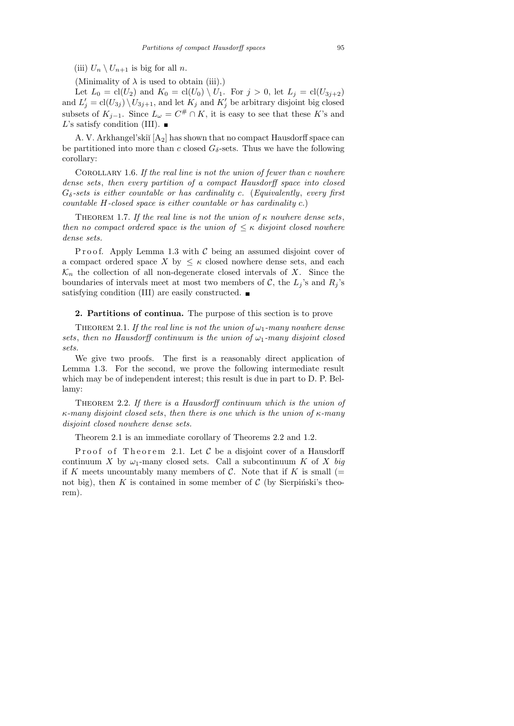(iii)  $U_n \setminus U_{n+1}$  is big for all n.

(Minimality of  $\lambda$  is used to obtain (iii).)

Let  $L_0 = \text{cl}(U_2)$  and  $K_0 = \text{cl}(U_0) \setminus U_1$ . For  $j > 0$ , let  $L_j = \text{cl}(U_{3j+2})$ and  $L'_j = \text{cl}(U_{3j}) \setminus U_{3j+1}$ , and let  $K_j$  and  $K'_j$  be arbitrary disjoint big closed subsets of  $K_{j-1}$ . Since  $L_{\omega} = C^{\#} \cap K$ , it is easy to see that these K's and L's satisfy condition (III).  $\blacksquare$ 

A. V. Arkhangel'skiı̆ $[A_2]$  has shown that no compact Hausdorff space can be partitioned into more than c closed  $G_{\delta}$ -sets. Thus we have the following corollary:

COROLLARY 1.6. If the real line is not the union of fewer than  $c$  nowhere dense sets, then every partition of a compact Hausdorff space into closed  $G_{\delta}$ -sets is either countable or has cardinality c. (Equivalently, every first countable H-closed space is either countable or has cardinality c.)

THEOREM 1.7. If the real line is not the union of  $\kappa$  nowhere dense sets, then no compact ordered space is the union of  $\leq \kappa$  disjoint closed nowhere dense sets.

P r o o f. Apply Lemma 1.3 with  $\mathcal C$  being an assumed disjoint cover of a compact ordered space X by  $\leq \kappa$  closed nowhere dense sets, and each  $\mathcal{K}_n$  the collection of all non-degenerate closed intervals of X. Since the boundaries of intervals meet at most two members of C, the  $L_i$ 's and  $R_i$ 's satisfying condition (III) are easily constructed.

2. Partitions of continua. The purpose of this section is to prove

THEOREM 2.1. If the real line is not the union of  $\omega_1$ -many nowhere dense sets, then no Hausdorff continuum is the union of  $\omega_1$ -many disjoint closed sets.

We give two proofs. The first is a reasonably direct application of Lemma 1.3. For the second, we prove the following intermediate result which may be of independent interest; this result is due in part to D. P. Bellamy:

THEOREM 2.2. If there is a Hausdorff continuum which is the union of  $\kappa$ -many disjoint closed sets, then there is one which is the union of  $\kappa$ -many disjoint closed nowhere dense sets.

Theorem 2.1 is an immediate corollary of Theorems 2.2 and 1.2.

Proof of Theorem 2.1. Let  $\mathcal C$  be a disjoint cover of a Hausdorff continuum X by  $\omega_1$ -many closed sets. Call a subcontinuum K of X big if K meets uncountably many members of C. Note that if K is small (= not big), then  $K$  is contained in some member of  $C$  (by Sierpinski's theorem).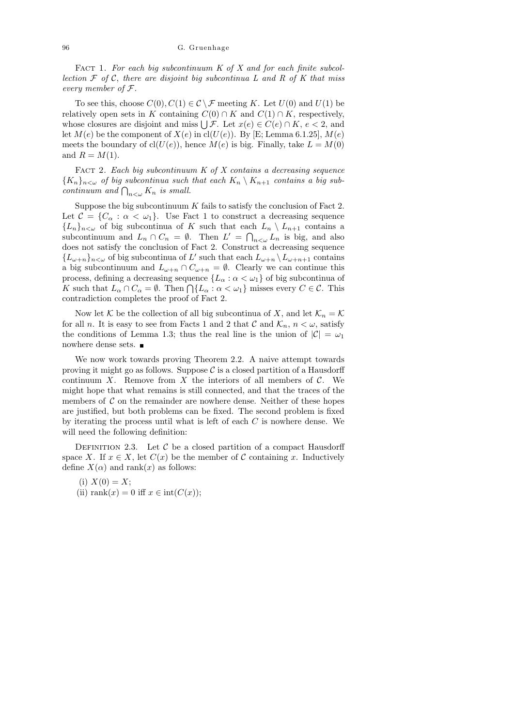FACT 1. For each big subcontinuum  $K$  of  $X$  and for each finite subcollection  $\mathcal F$  of  $\mathcal C$ , there are disjoint big subcontinua L and R of K that miss every member of F.

To see this, choose  $C(0), C(1) \in \mathcal{C} \backslash \mathcal{F}$  meeting K. Let  $U(0)$  and  $U(1)$  be relatively open sets in K containing  $C(0) \cap K$  and  $C(1) \cap K$ , respectively, whose closures are disjoint and miss  $\bigcup \mathcal{F}$ . Let  $x(e) \in C(e) \cap K$ ,  $e < 2$ , and let  $M(e)$  be the component of  $X(e)$  in cl( $U(e)$ ). By [E; Lemma 6.1.25],  $M(e)$ meets the boundary of  $cl(U(e))$ , hence  $M(e)$  is big. Finally, take  $L = M(0)$ and  $R = M(1)$ .

FACT 2. Each big subcontinuum  $K$  of  $X$  contains a decreasing sequence  ${K_n}_{n \leq \omega}$  of big subcontinua such that each  $K_n \setminus K_{n+1}$  contains a big subcontinuum and  $\bigcap_{n<\omega} K_n$  is small.

Suppose the big subcontinuum  $K$  fails to satisfy the conclusion of Fact 2. Let  $\mathcal{C} = \{C_\alpha : \alpha < \omega_1\}$ . Use Fact 1 to construct a decreasing sequence  ${L_n}_{n<\omega}$  of big subcontinua of K such that each  $L_n \setminus L_{n+1}$  contains a subcontinuum and  $L_n \cap C_n = \emptyset$ . Then  $L' = \bigcap_{n \leq \omega} L_n$  is big, and also does not satisfy the conclusion of Fact 2. Construct a decreasing sequence  ${L_{\omega+n}}_{n<\omega}$  of big subcontinua of L' such that each  $L_{\omega+n} \setminus L_{\omega+n+1}$  contains a big subcontinuum and  $L_{\omega+n} \cap C_{\omega+n} = \emptyset$ . Clearly we can continue this process, defining a decreasing sequence  $\{L_{\alpha} : \alpha < \omega_1\}$  of big subcontinua of K such that  $L_{\alpha} \cap C_{\alpha} = \emptyset$ . Then  $\bigcap \{L_{\alpha} : \alpha < \omega_1\}$  misses every  $C \in \mathcal{C}$ . This contradiction completes the proof of Fact 2.

Now let K be the collection of all big subcontinua of X, and let  $\mathcal{K}_n = \mathcal{K}$ for all n. It is easy to see from Facts 1 and 2 that C and  $\mathcal{K}_n$ ,  $n < \omega$ , satisfy the conditions of Lemma 1.3; thus the real line is the union of  $|\mathcal{C}| = \omega_1$ nowhere dense sets. ■

We now work towards proving Theorem 2.2. A naive attempt towards proving it might go as follows. Suppose  $\mathcal C$  is a closed partition of a Hausdorff continuum X. Remove from X the interiors of all members of  $\mathcal{C}$ . We might hope that what remains is still connected, and that the traces of the members of  $\mathcal C$  on the remainder are nowhere dense. Neither of these hopes are justified, but both problems can be fixed. The second problem is fixed by iterating the process until what is left of each C is nowhere dense. We will need the following definition:

DEFINITION 2.3. Let  $C$  be a closed partition of a compact Hausdorff space X. If  $x \in X$ , let  $C(x)$  be the member of C containing x. Inductively define  $X(\alpha)$  and rank(x) as follows:

(i)  $X(0) = X;$ (ii) rank $(x) = 0$  iff  $x \in \text{int}(C(x))$ ;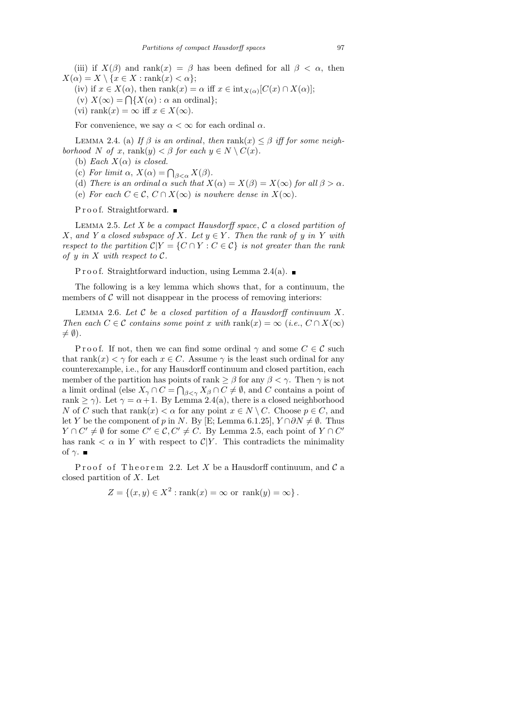(iii) if  $X(\beta)$  and rank $(x) = \beta$  has been defined for all  $\beta < \alpha$ , then  $X(\alpha) = X \setminus \{x \in X : \text{rank}(x) < \alpha\};$ 

(iv) if  $x \in X(\alpha)$ , then  $\text{rank}(x) = \alpha$  iff  $x \in \text{int}_{X(\alpha)}[C(x) \cap X(\alpha)];$ 

- (v)  $X(\infty) = \bigcap \{ X(\alpha) : \alpha \text{ an ordinal} \};$
- (vi) rank $(x) = \infty$  iff  $x \in X(\infty)$ .

For convenience, we say  $\alpha < \infty$  for each ordinal  $\alpha$ .

LEMMA 2.4. (a) If  $\beta$  is an ordinal, then rank(x)  $\leq \beta$  iff for some neighborhood N of x, rank $(y) < \beta$  for each  $y \in N \setminus C(x)$ .

- (b) Each  $X(\alpha)$  is closed.
- (c) For limit  $\alpha$ ,  $X(\alpha) = \bigcap_{\beta < \alpha} X(\beta)$ .
- (d) There is an ordinal  $\alpha$  such that  $X(\alpha) = X(\beta) = X(\infty)$  for all  $\beta > \alpha$ .
- (e) For each  $C \in \mathcal{C}, C \cap X(\infty)$  is nowhere dense in  $X(\infty)$ .

Proof. Straightforward. ■

LEMMA 2.5. Let  $X$  be a compact Hausdorff space,  $\mathcal C$  a closed partition of X, and Y a closed subspace of X. Let  $y \in Y$ . Then the rank of y in Y with respect to the partition  $\mathcal{C}|Y = \{C \cap Y : C \in \mathcal{C}\}\$ is not greater than the rank of y in X with respect to  $\mathcal{C}.$ 

P r o o f. Straightforward induction, using Lemma 2.4(a).  $\blacksquare$ 

The following is a key lemma which shows that, for a continuum, the members of  $\mathcal C$  will not disappear in the process of removing interiors:

LEMMA 2.6. Let  $C$  be a closed partition of a Hausdorff continuum  $X$ . Then each  $C \in \mathcal{C}$  contains some point x with rank $(x) = \infty$  (i.e.,  $C \cap X(\infty)$ )  $\neq \emptyset$ ).

P r o o f. If not, then we can find some ordinal  $\gamma$  and some  $C \in \mathcal{C}$  such that rank $(x) < \gamma$  for each  $x \in C$ . Assume  $\gamma$  is the least such ordinal for any counterexample, i.e., for any Hausdorff continuum and closed partition, each member of the partition has points of rank  $\geq \beta$  for any  $\beta < \gamma$ . Then  $\gamma$  is not a limit ordinal (else  $X_{\gamma} \cap C = \bigcap_{\beta < \gamma} X_{\beta} \cap C \neq \emptyset$ , and C contains a point of rank  $\geq \gamma$ ). Let  $\gamma = \alpha + 1$ . By Lemma 2.4(a), there is a closed neighborhood N of C such that  $rank(x) < \alpha$  for any point  $x \in N \setminus C$ . Choose  $p \in C$ , and let Y be the component of p in N. By [E; Lemma 6.1.25],  $Y \cap \partial N \neq \emptyset$ . Thus  $Y \cap C' \neq \emptyset$  for some  $C' \in \mathcal{C}, C' \neq C$ . By Lemma 2.5, each point of  $Y \cap C'$ has rank  $\langle \alpha \rangle$  in Y with respect to  $\mathcal{C}|Y$ . This contradicts the minimality of  $\gamma$ .

Proof of Theorem 2.2. Let X be a Hausdorff continuum, and  $\mathcal C$  a closed partition of X. Let

 $Z = \{(x, y) \in X^2 : \text{rank}(x) = \infty \text{ or } \text{rank}(y) = \infty \}.$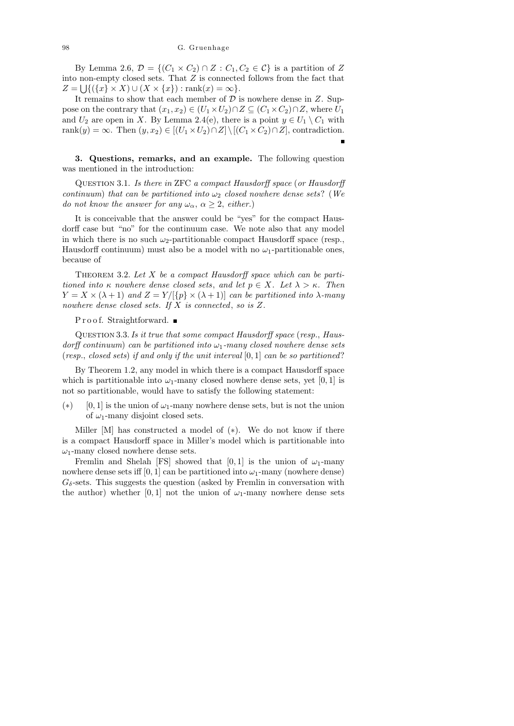By Lemma 2.6,  $\mathcal{D} = \{(C_1 \times C_2) \cap Z : C_1, C_2 \in \mathcal{C}\}\)$  is a partition of Z into non-empty closed sets. That  $Z$  is connected follows from the fact that  $Z = \bigcup \{ (\{x\} \times X) \cup (X \times \{x\}) : \text{rank}(x) = \infty \}.$ 

It remains to show that each member of  $D$  is nowhere dense in  $Z$ . Suppose on the contrary that  $(x_1, x_2) \in (U_1 \times U_2) \cap Z \subseteq (C_1 \times C_2) \cap Z$ , where  $U_1$ and  $U_2$  are open in X. By Lemma 2.4(e), there is a point  $y \in U_1 \setminus C_1$  with rank $(y) = \infty$ . Then  $(y, x_2) \in [(U_1 \times U_2) \cap Z] \setminus [(C_1 \times C_2) \cap Z]$ , contradiction.

3. Questions, remarks, and an example. The following question was mentioned in the introduction:

Question 3.1. Is there in ZFC a compact Hausdorff space (or Hausdorff continuum) that can be partitioned into  $\omega_2$  closed nowhere dense sets? (We do not know the answer for any  $\omega_{\alpha}$ ,  $\alpha \geq 2$ , either.)

It is conceivable that the answer could be "yes" for the compact Hausdorff case but "no" for the continuum case. We note also that any model in which there is no such  $\omega_2$ -partitionable compact Hausdorff space (resp., Hausdorff continuum) must also be a model with no  $\omega_1$ -partitionable ones, because of

THEOREM 3.2. Let  $X$  be a compact Hausdorff space which can be partitioned into  $\kappa$  nowhere dense closed sets, and let  $p \in X$ . Let  $\lambda > \kappa$ . Then  $Y = X \times (\lambda + 1)$  and  $Z = Y/[\{p\} \times (\lambda + 1)]$  can be partitioned into  $\lambda$ -many nowhere dense closed sets. If X is connected, so is Z.

Proof. Straightforward. ■

QUESTION 3.3. Is it true that some compact Hausdorff space (resp., Hausdorff continuum) can be partitioned into  $\omega_1$ -many closed nowhere dense sets (resp., closed sets) if and only if the unit interval  $[0, 1]$  can be so partitioned?

By Theorem 1.2, any model in which there is a compact Hausdorff space which is partitionable into  $\omega_1$ -many closed nowhere dense sets, yet [0, 1] is not so partitionable, would have to satisfy the following statement:

(\*) [0, 1] is the union of  $\omega_1$ -many nowhere dense sets, but is not the union of  $\omega_1$ -many disjoint closed sets.

Miller [M] has constructed a model of  $(*)$ . We do not know if there is a compact Hausdorff space in Miller's model which is partitionable into  $\omega_1$ -many closed nowhere dense sets.

Fremlin and Shelah [FS] showed that [0,1] is the union of  $\omega_1$ -many nowhere dense sets iff  $[0, 1]$  can be partitioned into  $\omega_1$ -many (nowhere dense)  $G_{\delta}$ -sets. This suggests the question (asked by Fremlin in conversation with the author) whether [0, 1] not the union of  $\omega_1$ -many nowhere dense sets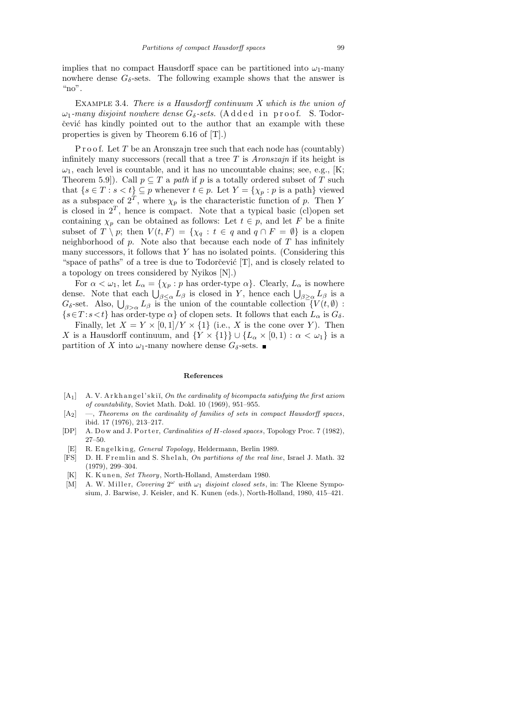implies that no compact Hausdorff space can be partitioned into  $\omega_1$ -many nowhere dense  $G_{\delta}$ -sets. The following example shows that the answer is " $no$ ".

EXAMPLE 3.4. There is a Hausdorff continuum  $X$  which is the union of  $\omega_1$ -many disjoint nowhere dense  $G_{\delta}$ -sets. (Added in proof. S. Todorčević has kindly pointed out to the author that an example with these properties is given by Theorem 6.16 of [T].)

P r o o f. Let  $T$  be an Aronszajn tree such that each node has (countably) infinitely many successors (recall that a tree  $T$  is Aronszajn if its height is  $\omega_1$ , each level is countable, and it has no uncountable chains; see, e.g., [K; Theorem 5.9]). Call  $p \subseteq T$  a path if p is a totally ordered subset of T such that  $\{s \in T : s < t\} \subseteq p$  whenever  $t \in p$ . Let  $Y = \{\chi_p : p \text{ is a path}\}\$  viewed as a subspace of  $2^T$ , where  $\chi_p$  is the characteristic function of p. Then Y is closed in  $2^T$ , hence is compact. Note that a typical basic (cl) open set containing  $\chi_p$  can be obtained as follows: Let  $t \in p$ , and let F be a finite subset of  $T \setminus p$ ; then  $V(t, F) = \{ \chi_q : t \in q \text{ and } q \cap F = \emptyset \}$  is a clopen neighborhood of  $p$ . Note also that because each node of  $T$  has infinitely many successors, it follows that Y has no isolated points. (Considering this "space of paths" of a tree is due to Todorcevic  $[T]$ , and is closely related to a topology on trees considered by Nyikos [N].)

For  $\alpha < \omega_1$ , let  $L_\alpha = \{\chi_p : p \text{ has order-type } \alpha\}$ . Clearly,  $L_\alpha$  is nowhere dense. Note that each  $\bigcup_{\beta \leq \alpha} L_{\beta}$  is closed in Y, hence each  $\bigcup_{\beta \geq \alpha} L_{\beta}$  is a  $G_{\delta}$ -set. Also,  $\bigcup_{\beta>\alpha} L_{\beta}$  is the union of the countable collection  $\lceil V(t,\emptyset) \rceil$ :  $\{s \in T : s < t\}$  has order-type  $\alpha\}$  of clopen sets. It follows that each  $L_{\alpha}$  is  $G_{\delta}$ .

Finally, let  $X = Y \times [0,1]/Y \times \{1\}$  (i.e., X is the cone over Y). Then X is a Hausdorff continuum, and  $\{Y \times \{1\}\}\cup \{L_\alpha \times [0,1) : \alpha < \omega_1\}$  is a partition of X into  $\omega_1$ -many nowhere dense  $G_\delta$ -sets.

### **References**

- [A<sub>1</sub>] A. V. Arkhangel'skiĭ, *On the cardinality of bicompacta satisfying the first axiom of countability*, Soviet Math. Dokl. 10 (1969), 951–955.
- [A2] —, *Theorems on the cardinality of families of sets in compact Hausdorff spaces*, ibid. 17 (1976), 213–217.
- [DP] A. Dow and J. Porter, *Cardinalities of H-closed spaces*, Topology Proc. 7 (1982), 27–50.
- [E] R. Engelking, *General Topology*, Heldermann, Berlin 1989.
- [FS] D. H. Fremlin and S. Shelah, *On partitions of the real line*, Israel J. Math. 32 (1979), 299–304.
- [K] K. Kunen, *Set Theory*, North-Holland, Amsterdam 1980.
- [M] A. W. Miller, *Covering*  $2^{\omega}$  *with*  $\omega_1$  *disjoint closed sets*, in: The Kleene Symposium, J. Barwise, J. Keisler, and K. Kunen (eds.), North-Holland, 1980, 415–421.